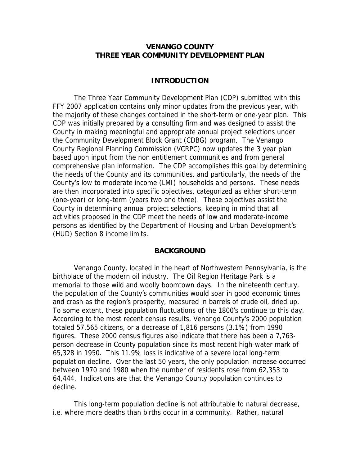### **VENANGO COUNTY THREE YEAR COMMUNITY DEVELOPMENT PLAN**

### **INTRODUCTION**

The Three Year Community Development Plan (CDP) submitted with this FFY 2007 application contains only minor updates from the previous year, with the majority of these changes contained in the short-term or one-year plan. This CDP was initially prepared by a consulting firm and was designed to assist the County in making meaningful and appropriate annual project selections under the Community Development Block Grant (CDBG) program. The Venango County Regional Planning Commission (VCRPC) now updates the 3 year plan based upon input from the non entitlement communities and from general comprehensive plan information. The CDP accomplishes this goal by determining the needs of the County and its communities, and particularly, the needs of the County's low to moderate income (LMI) households and persons. These needs are then incorporated into specific objectives, categorized as either short-term (one-year) or long-term (years two and three). These objectives assist the County in determining annual project selections, keeping in mind that all activities proposed in the CDP meet the needs of low and moderate-income persons as identified by the Department of Housing and Urban Development's (HUD) Section 8 income limits.

#### **BACKGROUND**

Venango County, located in the heart of Northwestern Pennsylvania, is the birthplace of the modern oil industry. The Oil Region Heritage Park is a memorial to those wild and woolly boomtown days. In the nineteenth century, the population of the County's communities would soar in good economic times and crash as the region's prosperity, measured in barrels of crude oil, dried up. To some extent, these population fluctuations of the 1800's continue to this day. According to the most recent census results, Venango County's 2000 population totaled 57,565 citizens, or a decrease of 1,816 persons (3.1%) from 1990 figures. These 2000 census figures also indicate that there has been a 7,763 person decrease in County population since its most recent high-water mark of 65,328 in 1950. This 11.9% loss is indicative of a severe local long-term population decline. Over the last 50 years, the only population increase occurred between 1970 and 1980 when the number of residents rose from 62,353 to 64,444. Indications are that the Venango County population continues to decline.

This long-term population decline is not attributable to natural decrease, i.e. where more deaths than births occur in a community. Rather, natural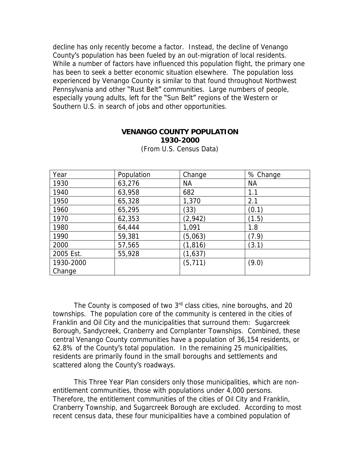decline has only recently become a factor. Instead, the decline of Venango County's population has been fueled by an out-migration of local residents. While a number of factors have influenced this population flight, the primary one has been to seek a better economic situation elsewhere. The population loss experienced by Venango County is similar to that found throughout Northwest Pennsylvania and other "Rust Belt" communities. Large numbers of people, especially young adults, left for the "Sun Belt" regions of the Western or Southern U.S. in search of jobs and other opportunities.

### **VENANGO COUNTY POPULATION 1930-2000**

| Year      | Population | Change    | % Change  |
|-----------|------------|-----------|-----------|
| 1930      | 63,276     | <b>NA</b> | <b>NA</b> |
| 1940      | 63,958     | 682       | 1.1       |
| 1950      | 65,328     | 1,370     | 2.1       |
| 1960      | 65,295     | (33)      | (0.1)     |
| 1970      | 62,353     | (2, 942)  | (1.5)     |
| 1980      | 64,444     | 1,091     | 1.8       |
| 1990      | 59,381     | (5,063)   | (7.9)     |
| 2000      | 57,565     | (1, 816)  | (3.1)     |
| 2005 Est. | 55,928     | (1,637)   |           |
| 1930-2000 |            | (5, 711)  | (9.0)     |
| Change    |            |           |           |

(From U.S. Census Data)

The County is composed of two 3<sup>rd</sup> class cities, nine boroughs, and 20 townships. The population core of the community is centered in the cities of Franklin and Oil City and the municipalities that surround them: Sugarcreek Borough, Sandycreek, Cranberry and Cornplanter Townships. Combined, these central Venango County communities have a population of 36,154 residents, or 62.8% of the County's total population. In the remaining 25 municipalities, residents are primarily found in the small boroughs and settlements and scattered along the County's roadways.

This Three Year Plan considers only those municipalities, which are nonentitlement communities, those with populations under 4,000 persons. Therefore, the entitlement communities of the cities of Oil City and Franklin, Cranberry Township, and Sugarcreek Borough are excluded. According to most recent census data, these four municipalities have a combined population of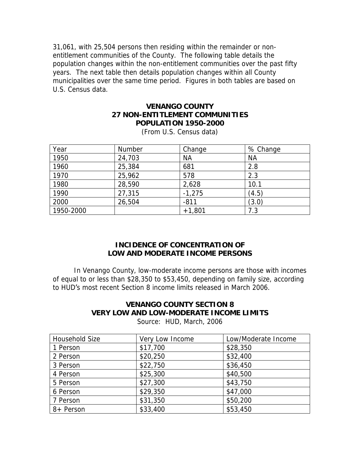31,061, with 25,504 persons then residing within the remainder or nonentitlement communities of the County. The following table details the population changes within the non-entitlement communities over the past fifty years. The next table then details population changes within all County municipalities over the same time period. Figures in both tables are based on U.S. Census data.

### **VENANGO COUNTY 27 NON-ENTITLEMENT COMMUNITIES POPULATION 1950-2000**

| Year      | Number | Change    | % Change  |
|-----------|--------|-----------|-----------|
| 1950      | 24,703 | <b>NA</b> | <b>NA</b> |
| 1960      | 25,384 | 681       | 2.8       |
| 1970      | 25,962 | 578       | 2.3       |
| 1980      | 28,590 | 2,628     | 10.1      |
| 1990      | 27,315 | $-1,275$  | (4.5)     |
| 2000      | 26,504 | $-811$    | (3.0)     |
| 1950-2000 |        | $+1,801$  | 7.3       |

(From U.S. Census data)

### **INCIDENCE OF CONCENTRATION OF LOW AND MODERATE INCOME PERSONS**

In Venango County, low-moderate income persons are those with incomes of equal to or less than \$28,350 to \$53,450, depending on family size, according to HUD's most recent Section 8 income limits released in March 2006.

# **VENANGO COUNTY SECTION 8 VERY LOW AND LOW-MODERATE INCOME LIMITS**

Source: HUD, March, 2006

| Household Size | Very Low Income | Low/Moderate Income |
|----------------|-----------------|---------------------|
| 1 Person       | \$17,700        | \$28,350            |
| 2 Person       | \$20,250        | \$32,400            |
| 3 Person       | \$22,750        | \$36,450            |
| 4 Person       | \$25,300        | \$40,500            |
| 5 Person       | \$27,300        | \$43,750            |
| 6 Person       | \$29,350        | \$47,000            |
| 7 Person       | \$31,350        | \$50,200            |
| 8+ Person      | \$33,400        | \$53,450            |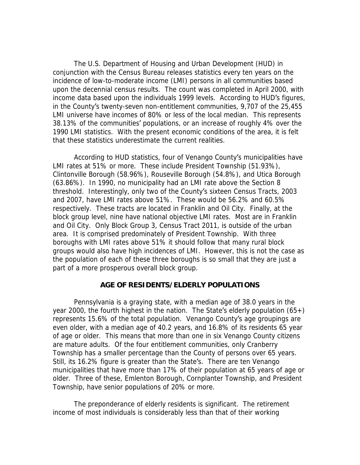The U.S. Department of Housing and Urban Development (HUD) in conjunction with the Census Bureau releases statistics every ten years on the incidence of low-to-moderate income (LMI) persons in all communities based upon the decennial census results. The count was completed in April 2000, with income data based upon the individuals 1999 levels. According to HUD's figures, in the County's twenty-seven non-entitlement communities, 9,707 of the 25,455 LMI universe have incomes of 80% or less of the local median. This represents 38.13% of the communities' populations, or an increase of roughly 4% over the 1990 LMI statistics. With the present economic conditions of the area, it is felt that these statistics underestimate the current realities.

According to HUD statistics, four of Venango County's municipalities have LMI rates at 51% or more. These include President Township (51.93%), Clintonville Borough (58.96%), Rouseville Borough (54.8%), and Utica Borough (63.86%). In 1990, no municipality had an LMI rate above the Section 8 threshold. Interestingly, only two of the County's sixteen Census Tracts, 2003 and 2007, have LMI rates above 51%. These would be 56.2% and 60.5% respectively. These tracts are located in Franklin and Oil City. Finally, at the block group level, nine have national objective LMI rates. Most are in Franklin and Oil City. Only Block Group 3, Census Tract 2011, is outside of the urban area. It is comprised predominately of President Township. With three boroughs with LMI rates above 51% it should follow that many rural block groups would also have high incidences of LMI. However, this is not the case as the population of each of these three boroughs is so small that they are just a part of a more prosperous overall block group.

### **AGE OF RESIDENTS/ELDERLY POPULATIONS**

Pennsylvania is a graying state, with a median age of 38.0 years in the year 2000, the fourth highest in the nation. The State's elderly population  $(65+)$ represents 15.6% of the total population. Venango County's age groupings are even older, with a median age of 40.2 years, and 16.8% of its residents 65 year of age or older. This means that more than one in six Venango County citizens are mature adults. Of the four entitlement communities, only Cranberry Township has a smaller percentage than the County of persons over 65 years. Still, its 16.2% figure is greater than the State's. There are ten Venango municipalities that have more than 17% of their population at 65 years of age or older. Three of these, Emlenton Borough, Cornplanter Township, and President Township, have senior populations of 20% or more.

The preponderance of elderly residents is significant. The retirement income of most individuals is considerably less than that of their working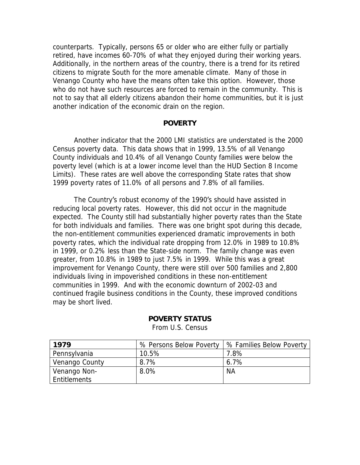counterparts. Typically, persons 65 or older who are either fully or partially retired, have incomes 60-70% of what they enjoyed during their working years. Additionally, in the northern areas of the country, there is a trend for its retired citizens to migrate South for the more amenable climate. Many of those in Venango County who have the means often take this option. However, those who do not have such resources are forced to remain in the community. This is not to say that all elderly citizens abandon their home communities, but it is just another indication of the economic drain on the region.

#### **POVERTY**

Another indicator that the 2000 LMI statistics are understated is the 2000 Census poverty data. This data shows that in 1999, 13.5% of all Venango County individuals and 10.4% of all Venango County families were below the poverty level (which is at a lower income level than the HUD Section 8 Income Limits). These rates are well above the corresponding State rates that show 1999 poverty rates of 11.0% of all persons and 7.8% of all families.

The Country's robust economy of the 1990's should have assisted in reducing local poverty rates. However, this did not occur in the magnitude expected. The County still had substantially higher poverty rates than the State for both individuals and families. There was one bright spot during this decade, the non-entitlement communities experienced dramatic improvements in both poverty rates, which the individual rate dropping from 12.0% in 1989 to 10.8% in 1999, or 0.2% less than the State-side norm. The family change was even greater, from 10.8% in 1989 to just 7.5% in 1999. While this was a great improvement for Venango County, there were still over 500 families and 2,800 individuals living in impoverished conditions in these non-entitlement communities in 1999. And with the economic downturn of 2002-03 and continued fragile business conditions in the County, these improved conditions may be short lived.

| 1979           | % Persons Below Poverty | % Families Below Poverty |
|----------------|-------------------------|--------------------------|
| Pennsylvania   | 10.5%                   | 7.8%                     |
| Venango County | 8.7%                    | $6.7\%$                  |
| Venango Non-   | 8.0%                    | <b>NA</b>                |
| Entitlements   |                         |                          |

### **POVERTY STATUS**

From U.S. Census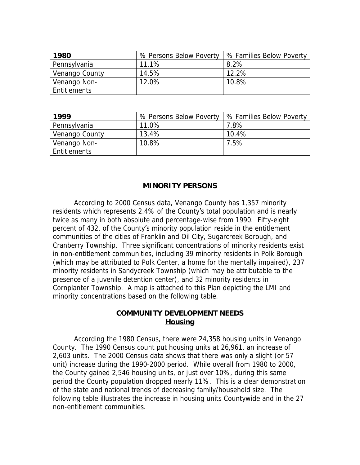| 1980           | % Persons Below Poverty | % Families Below Poverty |
|----------------|-------------------------|--------------------------|
| Pennsylvania   | 11.1%                   | 8.2%                     |
| Venango County | 14.5%                   | 12.2%                    |
| Venango Non-   | 12.0%                   | 10.8%                    |
| Entitlements   |                         |                          |

| 1999           | % Persons Below Poverty | % Families Below Poverty |
|----------------|-------------------------|--------------------------|
| Pennsylvania   | 11.0%                   | 7.8%                     |
| Venango County | 13.4%                   | 10.4%                    |
| Venango Non-   | 10.8%                   | 7.5%                     |
| Entitlements   |                         |                          |

### **MINORITY PERSONS**

According to 2000 Census data, Venango County has 1,357 minority residents which represents 2.4% of the County's total population and is nearly twice as many in both absolute and percentage-wise from 1990. Fifty-eight percent of 432, of the County's minority population reside in the entitlement communities of the cities of Franklin and Oil City, Sugarcreek Borough, and Cranberry Township. Three significant concentrations of minority residents exist in non-entitlement communities, including 39 minority residents in Polk Borough (which may be attributed to Polk Center, a home for the mentally impaired), 237 minority residents in Sandycreek Township (which may be attributable to the presence of a juvenile detention center), and 32 minority residents in Cornplanter Township. A map is attached to this Plan depicting the LMI and minority concentrations based on the following table.

### **COMMUNITY DEVELOPMENT NEEDS Housing**

According the 1980 Census, there were 24,358 housing units in Venango County. The 1990 Census count put housing units at 26,961, an increase of 2,603 units. The 2000 Census data shows that there was only a slight (or 57 unit) increase during the 1990-2000 period. While overall from 1980 to 2000, the County gained 2,546 housing units, or just over 10%, during this same period the County population dropped nearly 11%. This is a clear demonstration of the state and national trends of decreasing family/household size. The following table illustrates the increase in housing units Countywide and in the 27 non-entitlement communities.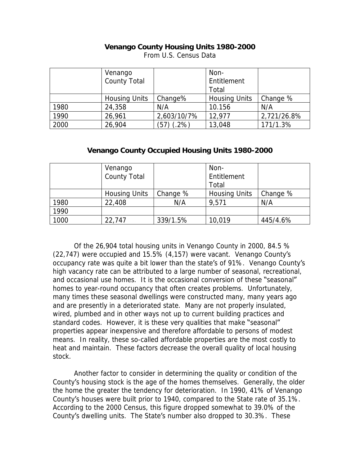### **Venango County Housing Units 1980-2000**

|      | Venango              |              | Non-                 |             |
|------|----------------------|--------------|----------------------|-------------|
|      | <b>County Total</b>  |              | Entitlement          |             |
|      |                      |              | Total                |             |
|      | <b>Housing Units</b> | Change%      | <b>Housing Units</b> | Change %    |
| 1980 | 24,358               | N/A          | 10.156               | N/A         |
| 1990 | 26,961               | 2,603/10/7%  | 12,977               | 2,721/26.8% |
| 2000 | 26,904               | $(57)$ (.2%) | 13,048               | 171/1.3%    |

From U.S. Census Data

### **Venango County Occupied Housing Units 1980-2000**

|      | Venango              |          | Non-          |          |
|------|----------------------|----------|---------------|----------|
|      | County Total         |          | Entitlement   |          |
|      |                      |          | Total         |          |
|      | <b>Housing Units</b> | Change % | Housing Units | Change % |
| 1980 | 22,408               | N/A      | 9,571         | N/A      |
| 1990 |                      |          |               |          |
| 1000 | 22,747               | 339/1.5% | 10,019        | 445/4.6% |

Of the 26,904 total housing units in Venango County in 2000, 84.5 % (22,747) were occupied and 15.5% (4,157) were vacant. Venango County's occupancy rate was quite a bit lower than the state's of 91%. Venango County's high vacancy rate can be attributed to a large number of seasonal, recreational, and occasional use homes. It is the occasional conversion of these "seasonal" homes to year-round occupancy that often creates problems. Unfortunately, many times these seasonal dwellings were constructed many, many years ago and are presently in a deteriorated state. Many are not properly insulated, wired, plumbed and in other ways not up to current building practices and standard codes. However, it is these very qualities that make "seasonal" properties appear inexpensive and therefore affordable to persons of modest means. In reality, these so-called affordable properties are the most costly to heat and maintain. These factors decrease the overall quality of local housing stock.

Another factor to consider in determining the quality or condition of the County's housing stock is the age of the homes themselves. Generally, the older the home the greater the tendency for deterioration. In 1990, 41% of Venango County's houses were built prior to 1940, compared to the State rate of 35.1%. According to the 2000 Census, this figure dropped somewhat to 39.0% of the County's dwelling units. The State's number also dropped to 30.3%. These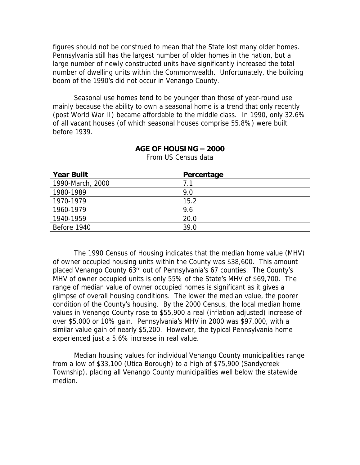figures should not be construed to mean that the State lost many older homes. Pennsylvania still has the largest number of older homes in the nation, but a large number of newly constructed units have significantly increased the total number of dwelling units within the Commonwealth. Unfortunately, the building boom of the 1990's did not occur in Venango County.

Seasonal use homes tend to be younger than those of year-round use mainly because the ability to own a seasonal home is a trend that only recently (post World War II) became affordable to the middle class. In 1990, only 32.6% of all vacant houses (of which seasonal houses comprise 55.8%) were built before 1939.

| <b>Year Built</b> | Percentage |
|-------------------|------------|
| 1990-March, 2000  |            |
| 1980-1989         | 9.0        |
| 1970-1979         | 15.2       |
| 1960-1979         | 9.6        |
| 1940-1959         | 20.0       |
| Before 1940       | 39.0       |

**AGE OF HOUSING – 2000**

From US Census data

The 1990 Census of Housing indicates that the median home value (MHV) of owner occupied housing units within the County was \$38,600. This amount placed Venango County 63<sup>rd</sup> out of Pennsylvania's 67 counties. The County's MHV of owner occupied units is only 55% of the State's MHV of \$69,700. The range of median value of owner occupied homes is significant as it gives a glimpse of overall housing conditions. The lower the median value, the poorer condition of the County's housing. By the 2000 Census, the local median home values in Venango County rose to \$55,900 a real (inflation adjusted) increase of over \$5,000 or 10% gain. Pennsylvania's MHV in 2000 was \$97,000, with a similar value gain of nearly \$5,200. However, the typical Pennsylvania home experienced just a 5.6% increase in real value.

Median housing values for individual Venango County municipalities range from a low of \$33,100 (Utica Borough) to a high of \$75,900 (Sandycreek Township), placing all Venango County municipalities well below the statewide median.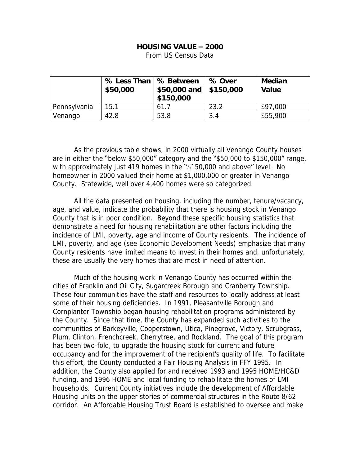#### **HOUSING VALUE – 2000**

From US Census Data

|              | % Less Than   % Between<br>\$50,000 | $$50,000$ and $  $150,000$<br>\$150,000 | % Over | Median<br>Value |
|--------------|-------------------------------------|-----------------------------------------|--------|-----------------|
| Pennsylvania | 15.1                                | 61.7                                    | 23.2   | \$97,000        |
| Venango      | 42.8                                | 53.8                                    | 3.4    | \$55,900        |

As the previous table shows, in 2000 virtually all Venango County houses are in either the "below \$50,000" category and the "\$50,000 to \$150,000" range, with approximately just 419 homes in the "\$150,000 and above" level. No homeowner in 2000 valued their home at \$1,000,000 or greater in Venango County. Statewide, well over 4,400 homes were so categorized.

All the data presented on housing, including the number, tenure/vacancy, age, and value, indicate the probability that there is housing stock in Venango County that is in poor condition. Beyond these specific housing statistics that demonstrate a need for housing rehabilitation are other factors including the incidence of LMI, poverty, age and income of County residents. The incidence of LMI, poverty, and age (see Economic Development Needs) emphasize that many County residents have limited means to invest in their homes and, unfortunately, these are usually the very homes that are most in need of attention.

Much of the housing work in Venango County has occurred within the cities of Franklin and Oil City, Sugarcreek Borough and Cranberry Township. These four communities have the staff and resources to locally address at least some of their housing deficiencies. In 1991, Pleasantville Borough and Cornplanter Township began housing rehabilitation programs administered by the County. Since that time, the County has expanded such activities to the communities of Barkeyville, Cooperstown, Utica, Pinegrove, Victory, Scrubgrass, Plum, Clinton, Frenchcreek, Cherrytree, and Rockland. The goal of this program has been two-fold, to upgrade the housing stock for current and future occupancy and for the improvement of the recipient's quality of life. To facilitate this effort, the County conducted a Fair Housing Analysis in FFY 1995. In addition, the County also applied for and received 1993 and 1995 HOME/HC&D funding, and 1996 HOME and local funding to rehabilitate the homes of LMI households. Current County initiatives include the development of Affordable Housing units on the upper stories of commercial structures in the Route 8/62 corridor. An Affordable Housing Trust Board is established to oversee and make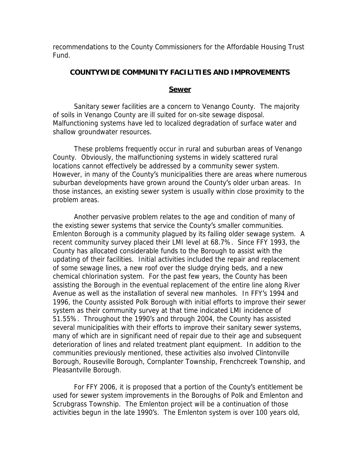recommendations to the County Commissioners for the Affordable Housing Trust Fund.

### **COUNTYWIDE COMMUNITY FACILITIES AND IMPROVEMENTS**

### **Sewer**

Sanitary sewer facilities are a concern to Venango County. The majority of soils in Venango County are ill suited for on-site sewage disposal. Malfunctioning systems have led to localized degradation of surface water and shallow groundwater resources.

These problems frequently occur in rural and suburban areas of Venango County. Obviously, the malfunctioning systems in widely scattered rural locations cannot effectively be addressed by a community sewer system. However, in many of the County's municipalities there are areas where numerous suburban developments have grown around the County's older urban areas. In those instances, an existing sewer system is usually within close proximity to the problem areas.

Another pervasive problem relates to the age and condition of many of the existing sewer systems that service the County's smaller communities. Emlenton Borough is a community plagued by its failing older sewage system. A recent community survey placed their LMI level at 68.7%. Since FFY 1993, the County has allocated considerable funds to the Borough to assist with the updating of their facilities. Initial activities included the repair and replacement of some sewage lines, a new roof over the sludge drying beds, and a new chemical chlorination system. For the past few years, the County has been assisting the Borough in the eventual replacement of the entire line along River Avenue as well as the installation of several new manholes. In FFY's 1994 and 1996, the County assisted Polk Borough with initial efforts to improve their sewer system as their community survey at that time indicated LMI incidence of 51.55%. Throughout the 1990's and through 2004, the County has assisted several municipalities with their efforts to improve their sanitary sewer systems, many of which are in significant need of repair due to their age and subsequent deterioration of lines and related treatment plant equipment. In addition to the communities previously mentioned, these activities also involved Clintonville Borough, Rouseville Borough, Cornplanter Township, Frenchcreek Township, and Pleasantville Borough.

For FFY 2006, it is proposed that a portion of the County's entitlement be used for sewer system improvements in the Boroughs of Polk and Emlenton and Scrubgrass Township. The Emlenton project will be a continuation of those activities begun in the late 1990's. The Emlenton system is over 100 years old,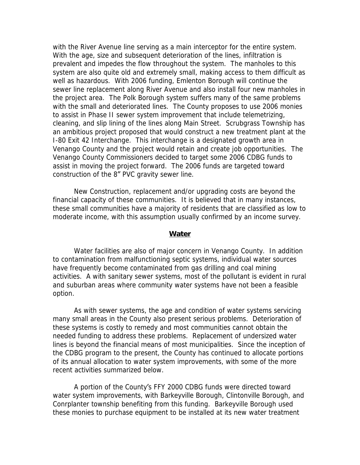with the River Avenue line serving as a main interceptor for the entire system. With the age, size and subsequent deterioration of the lines, infiltration is prevalent and impedes the flow throughout the system. The manholes to this system are also quite old and extremely small, making access to them difficult as well as hazardous. With 2006 funding, Emlenton Borough will continue the sewer line replacement along River Avenue and also install four new manholes in the project area. The Polk Borough system suffers many of the same problems with the small and deteriorated lines. The County proposes to use 2006 monies to assist in Phase II sewer system improvement that include telemetrizing, cleaning, and slip lining of the lines along Main Street. Scrubgrass Township has an ambitious project proposed that would construct a new treatment plant at the I-80 Exit 42 Interchange. This interchange is a designated growth area in Venango County and the project would retain and create job opportunities. The Venango County Commissioners decided to target some 2006 CDBG funds to assist in moving the project forward. The 2006 funds are targeted toward construction of the 8" PVC gravity sewer line.

New Construction, replacement and/or upgrading costs are beyond the financial capacity of these communities. It is believed that in many instances, these small communities have a majority of residents that are classified as low to moderate income, with this assumption usually confirmed by an income survey.

#### **Water**

Water facilities are also of major concern in Venango County. In addition to contamination from malfunctioning septic systems, individual water sources have frequently become contaminated from gas drilling and coal mining activities. A with sanitary sewer systems, most of the pollutant is evident in rural and suburban areas where community water systems have not been a feasible option.

As with sewer systems, the age and condition of water systems servicing many small areas in the County also present serious problems. Deterioration of these systems is costly to remedy and most communities cannot obtain the needed funding to address these problems. Replacement of undersized water lines is beyond the financial means of most municipalities. Since the inception of the CDBG program to the present, the County has continued to allocate portions of its annual allocation to water system improvements, with some of the more recent activities summarized below.

A portion of the County's FFY 2000 CDBG funds were directed toward water system improvements, with Barkeyville Borough, Clintonville Borough, and Conrplanter township benefiting from this funding. Barkeyville Borough used these monies to purchase equipment to be installed at its new water treatment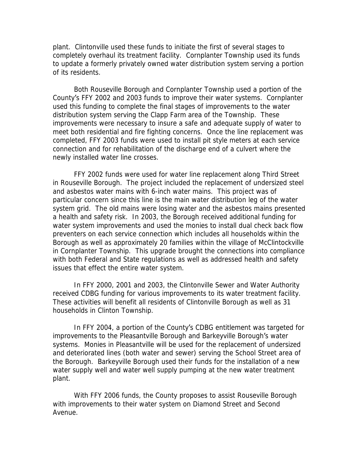plant. Clintonville used these funds to initiate the first of several stages to completely overhaul its treatment facility. Cornplanter Township used its funds to update a formerly privately owned water distribution system serving a portion of its residents.

Both Rouseville Borough and Cornplanter Township used a portion of the County's FFY 2002 and 2003 funds to improve their water systems. Cornplanter used this funding to complete the final stages of improvements to the water distribution system serving the Clapp Farm area of the Township. These improvements were necessary to insure a safe and adequate supply of water to meet both residential and fire fighting concerns. Once the line replacement was completed, FFY 2003 funds were used to install pit style meters at each service connection and for rehabilitation of the discharge end of a culvert where the newly installed water line crosses.

FFY 2002 funds were used for water line replacement along Third Street in Rouseville Borough. The project included the replacement of undersized steel and asbestos water mains with 6-inch water mains. This project was of particular concern since this line is the main water distribution leg of the water system grid. The old mains were losing water and the asbestos mains presented a health and safety risk. In 2003, the Borough received additional funding for water system improvements and used the monies to install dual check back flow preventers on each service connection which includes all households within the Borough as well as approximately 20 families within the village of McClintockville in Cornplanter Township. This upgrade brought the connections into compliance with both Federal and State regulations as well as addressed health and safety issues that effect the entire water system.

In FFY 2000, 2001 and 2003, the Clintonville Sewer and Water Authority received CDBG funding for various improvements to its water treatment facility. These activities will benefit all residents of Clintonville Borough as well as 31 households in Clinton Township.

In FFY 2004, a portion of the County's CDBG entitlement was targeted for improvements to the Pleasantville Borough and Barkeyville Borough's water systems. Monies in Pleasantville will be used for the replacement of undersized and deteriorated lines (both water and sewer) serving the School Street area of the Borough. Barkeyville Borough used their funds for the installation of a new water supply well and water well supply pumping at the new water treatment plant.

With FFY 2006 funds, the County proposes to assist Rouseville Borough with improvements to their water system on Diamond Street and Second Avenue.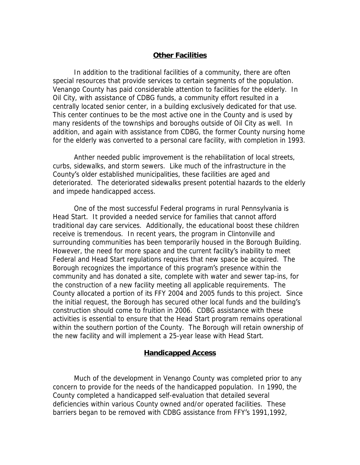### **Other Facilities**

In addition to the traditional facilities of a community, there are often special resources that provide services to certain segments of the population. Venango County has paid considerable attention to facilities for the elderly. In Oil City, with assistance of CDBG funds, a community effort resulted in a centrally located senior center, in a building exclusively dedicated for that use. This center continues to be the most active one in the County and is used by many residents of the townships and boroughs outside of Oil City as well. In addition, and again with assistance from CDBG, the former County nursing home for the elderly was converted to a personal care facility, with completion in 1993.

Anther needed public improvement is the rehabilitation of local streets, curbs, sidewalks, and storm sewers. Like much of the infrastructure in the County's older established municipalities, these facilities are aged and deteriorated. The deteriorated sidewalks present potential hazards to the elderly and impede handicapped access.

One of the most successful Federal programs in rural Pennsylvania is Head Start. It provided a needed service for families that cannot afford traditional day care services. Additionally, the educational boost these children receive is tremendous. In recent years, the program in Clintonville and surrounding communities has been temporarily housed in the Borough Building. However, the need for more space and the current facility's inability to meet Federal and Head Start regulations requires that new space be acquired. The Borough recognizes the importance of this program's presence within the community and has donated a site, complete with water and sewer tap-ins, for the construction of a new facility meeting all applicable requirements. The County allocated a portion of its FFY 2004 and 2005 funds to this project. Since the initial request, the Borough has secured other local funds and the building's construction should come to fruition in 2006. CDBG assistance with these activities is essential to ensure that the Head Start program remains operational within the southern portion of the County. The Borough will retain ownership of the new facility and will implement a 25-year lease with Head Start.

#### **Handicapped Access**

Much of the development in Venango County was completed prior to any concern to provide for the needs of the handicapped population. In 1990, the County completed a handicapped self-evaluation that detailed several deficiencies within various County owned and/or operated facilities. These barriers began to be removed with CDBG assistance from FFY's 1991,1992,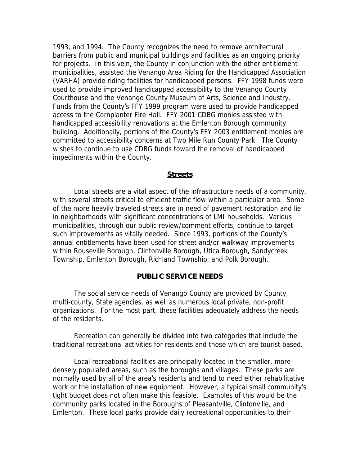1993, and 1994. The County recognizes the need to remove architectural barriers from public and municipal buildings and facilities as an ongoing priority for projects. In this vein, the County in conjunction with the other entitlement municipalities, assisted the Venango Area Riding for the Handicapped Association (VARHA) provide riding facilities for handicapped persons. FFY 1998 funds were used to provide improved handicapped accessibility to the Venango County Courthouse and the Venango County Museum of Arts, Science and Industry. Funds from the County's FFY 1999 program were used to provide handicapped access to the Cornplanter Fire Hall. FFY 2001 CDBG monies assisted with handicapped accessibility renovations at the Emlenton Borough community building. Additionally, portions of the County's FFY 2003 entitlement monies are committed to accessibility concerns at Two Mile Run County Park. The County wishes to continue to use CDBG funds toward the removal of handicapped impediments within the County.

#### **Streets**

Local streets are a vital aspect of the infrastructure needs of a community, with several streets critical to efficient traffic flow within a particular area. Some of the more heavily traveled streets are in need of pavement restoration and lie in neighborhoods with significant concentrations of LMI households. Various municipalities, through our public review/comment efforts, continue to target such improvements as vitally needed. Since 1993, portions of the County's annual entitlements have been used for street and/or walkway improvements within Rouseville Borough, Clintonville Borough, Utica Borough, Sandycreek Township, Emlenton Borough, Richland Township, and Polk Borough.

#### **PUBLIC SERVICE NEEDS**

The social service needs of Venango County are provided by County, multi-county, State agencies, as well as numerous local private, non-profit organizations. For the most part, these facilities adequately address the needs of the residents.

Recreation can generally be divided into two categories that include the traditional recreational activities for residents and those which are tourist based.

Local recreational facilities are principally located in the smaller, more densely populated areas, such as the boroughs and villages. These parks are normally used by all of the area's residents and tend to need either rehabilitative work or the installation of new equipment. However, a typical small community's tight budget does not often make this feasible. Examples of this would be the community parks located in the Boroughs of Pleasantville, Clintonville, and Emlenton. These local parks provide daily recreational opportunities to their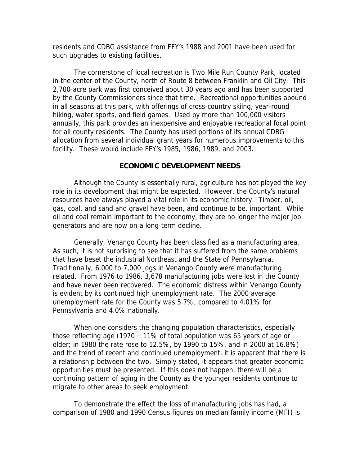residents and CDBG assistance from FFY's 1988 and 2001 have been used for such upgrades to existing facilities.

The cornerstone of local recreation is Two Mile Run County Park, located in the center of the County, north of Route 8 between Franklin and Oil City. This 2,700-acre park was first conceived about 30 years ago and has been supported by the County Commissioners since that time. Recreational opportunities abound in all seasons at this park, with offerings of cross-country skiing, year-round hiking, water sports, and field games. Used by more than 100,000 visitors annually, this park provides an inexpensive and enjoyable recreational focal point for all county residents. The County has used portions of its annual CDBG allocation from several individual grant years for numerous improvements to this facility. These would include FFY's 1985, 1986, 1989, and 2003.

#### **ECONOMIC DEVELOPMENT NEEDS**

Although the County is essentially rural, agriculture has not played the key role in its development that might be expected. However, the County's natural resources have always played a vital role in its economic history. Timber, oil, gas, coal, and sand and gravel have been, and continue to be, important. While oil and coal remain important to the economy, they are no longer the major job generators and are now on a long-term decline.

Generally, Venango County has been classified as a manufacturing area. As such, it is not surprising to see that it has suffered from the same problems that have beset the industrial Northeast and the State of Pennsylvania. Traditionally, 6,000 to 7,000 jogs in Venango County were manufacturing related. From 1976 to 1986, 3,678 manufacturing jobs were lost in the County and have never been recovered. The economic distress within Venango County is evident by its continued high unemployment rate. The 2000 average unemployment rate for the County was 5.7%, compared to 4.01% for Pennsylvania and 4.0% nationally.

When one considers the changing population characteristics, especially those reflecting age (1970 – 11% of total population was 65 years of age or older; in 1980 the rate rose to 12.5%, by 1990 to 15%, and in 2000 at 16.8%) and the trend of recent and continued unemployment, it is apparent that there is a relationship between the two. Simply stated, it appears that greater economic opportunities must be presented. If this does not happen, there will be a continuing pattern of aging in the County as the younger residents continue to migrate to other areas to seek employment.

To demonstrate the effect the loss of manufacturing jobs has had, a comparison of 1980 and 1990 Census figures on median family income (MFI) is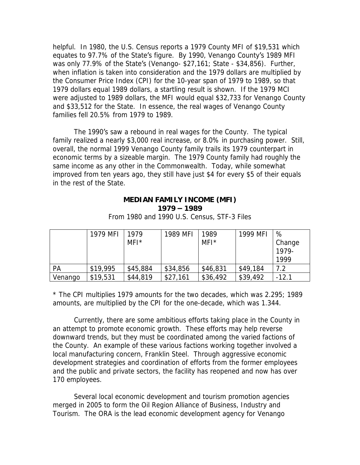helpful. In 1980, the U.S. Census reports a 1979 County MFI of \$19,531 which equates to 97.7% of the State's figure. By 1990, Venango County's 1989 MFI was only 77.9% of the State's (Venango- \$27,161; State - \$34,856). Further, when inflation is taken into consideration and the 1979 dollars are multiplied by the Consumer Price Index (CPI) for the 10-year span of 1979 to 1989, so that 1979 dollars equal 1989 dollars, a startling result is shown. If the 1979 MCI were adjusted to 1989 dollars, the MFI would equal \$32,733 for Venango County and \$33,512 for the State. In essence, the real wages of Venango County families fell 20.5% from 1979 to 1989.

The 1990's saw a rebound in real wages for the County. The typical family realized a nearly \$3,000 real increase, or 8.0% in purchasing power. Still, overall, the normal 1999 Venango County family trails its 1979 counterpart in economic terms by a sizeable margin. The 1979 County family had roughly the same income as any other in the Commonwealth. Today, while somewhat improved from ten years ago, they still have just \$4 for every \$5 of their equals in the rest of the State.

### **MEDIAN FAMILY INCOME (MFI) 1979 – 1989**

|         | 1979 MFI | 1979     | 1989 MFI | 1989     | 1999 MFI | %               |
|---------|----------|----------|----------|----------|----------|-----------------|
|         |          | $MFI^*$  |          | $MFI^*$  |          | Change<br>1979- |
|         |          |          |          |          |          | 1999            |
| PA      | \$19,995 | \$45,884 | \$34,856 | \$46,831 | \$49,184 | 7.2             |
| Venango | \$19,531 | \$44,819 | \$27,161 | \$36,492 | \$39,492 | $-12.1$         |

From 1980 and 1990 U.S. Census, STF-3 Files

\* The CPI multiplies 1979 amounts for the two decades, which was 2.295; 1989 amounts, are multiplied by the CPI for the one-decade, which was 1.344.

Currently, there are some ambitious efforts taking place in the County in an attempt to promote economic growth. These efforts may help reverse downward trends, but they must be coordinated among the varied factions of the County. An example of these various factions working together involved a local manufacturing concern, Franklin Steel. Through aggressive economic development strategies and coordination of efforts from the former employees and the public and private sectors, the facility has reopened and now has over 170 employees.

Several local economic development and tourism promotion agencies merged in 2005 to form the Oil Region Alliance of Business, Industry and Tourism. The ORA is the lead economic development agency for Venango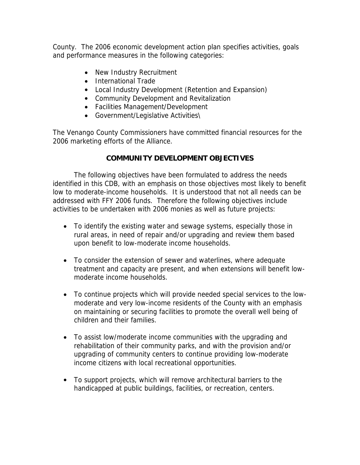County. The 2006 economic development action plan specifies activities, goals and performance measures in the following categories:

- New Industry Recruitment
- International Trade
- Local Industry Development (Retention and Expansion)
- Community Development and Revitalization
- Facilities Management/Development
- Government/Legislative Activities\

The Venango County Commissioners have committed financial resources for the 2006 marketing efforts of the Alliance.

# **COMMUNITY DEVELOPMENT OBJECTIVES**

The following objectives have been formulated to address the needs identified in this CDB, with an emphasis on those objectives most likely to benefit low to moderate-income households. It is understood that not all needs can be addressed with FFY 2006 funds. Therefore the following objectives include activities to be undertaken with 2006 monies as well as future projects:

- To identify the existing water and sewage systems, especially those in rural areas, in need of repair and/or upgrading and review them based upon benefit to low-moderate income households.
- To consider the extension of sewer and waterlines, where adequate treatment and capacity are present, and when extensions will benefit lowmoderate income households.
- To continue projects which will provide needed special services to the lowmoderate and very low-income residents of the County with an emphasis on maintaining or securing facilities to promote the overall well being of children and their families.
- To assist low/moderate income communities with the upgrading and rehabilitation of their community parks, and with the provision and/or upgrading of community centers to continue providing low-moderate income citizens with local recreational opportunities.
- To support projects, which will remove architectural barriers to the handicapped at public buildings, facilities, or recreation, centers.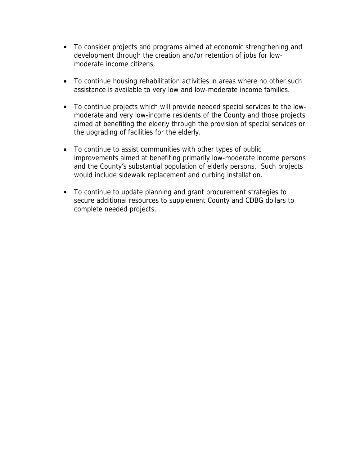- To consider projects and programs aimed at economic strengthening and development through the creation and/or retention of jobs for lowmoderate income citizens.
- To continue housing rehabilitation activities in areas where no other such assistance is available to very low and low-moderate income families.
- To continue projects which will provide needed special services to the lowmoderate and very low-income residents of the County and those projects aimed at benefiting the elderly through the provision of special services or the upgrading of facilities for the elderly.
- To continue to assist communities with other types of public improvements aimed at benefiting primarily low-moderate income persons and the County's substantial population of elderly persons. Such projects would include sidewalk replacement and curbing installation.
- To continue to update planning and grant procurement strategies to secure additional resources to supplement County and CDBG dollars to complete needed projects.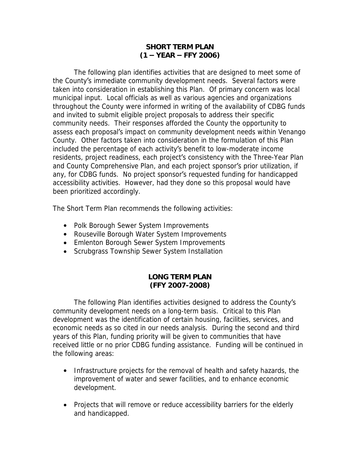### **SHORT TERM PLAN (1 – YEAR – FFY 2006)**

The following plan identifies activities that are designed to meet some of the County's immediate community development needs. Several factors were taken into consideration in establishing this Plan. Of primary concern was local municipal input. Local officials as well as various agencies and organizations throughout the County were informed in writing of the availability of CDBG funds and invited to submit eligible project proposals to address their specific community needs. Their responses afforded the County the opportunity to assess each proposal's impact on community development needs within Venango County. Other factors taken into consideration in the formulation of this Plan included the percentage of each activity's benefit to low-moderate income residents, project readiness, each project's consistency with the Three-Year Plan and County Comprehensive Plan, and each project sponsor's prior utilization, if any, for CDBG funds. No project sponsor's requested funding for handicapped accessibility activities. However, had they done so this proposal would have been prioritized accordingly.

The Short Term Plan recommends the following activities:

- Polk Borough Sewer System Improvements
- Rouseville Borough Water System Improvements
- Emlenton Borough Sewer System Improvements
- Scrubgrass Township Sewer System Installation

### **LONG TERM PLAN (FFY 2007-2008)**

The following Plan identifies activities designed to address the County's community development needs on a long-term basis. Critical to this Plan development was the identification of certain housing, facilities, services, and economic needs as so cited in our needs analysis. During the second and third years of this Plan, funding priority will be given to communities that have received little or no prior CDBG funding assistance. Funding will be continued in the following areas:

- Infrastructure projects for the removal of health and safety hazards, the improvement of water and sewer facilities, and to enhance economic development.
- Projects that will remove or reduce accessibility barriers for the elderly and handicapped.